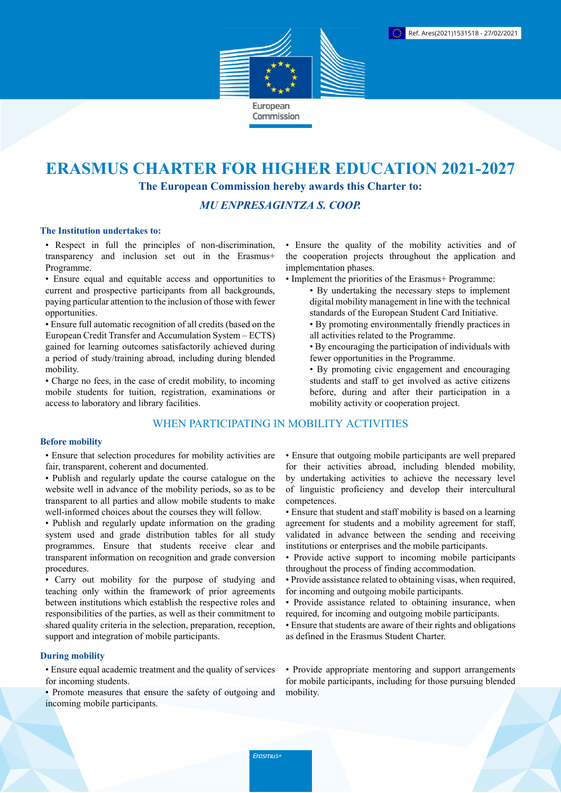

# **ERASMUS CHARTER FOR HIGHER EDUCATION 2021-2027 The European Commission hereby awards this Charter to:**

# *MU ENPRESAGINTZA S. COOP.*

### **The Institution undertakes to:**

• Respect in full the principles of non-discrimination, transparency and inclusion set out in the Erasmus+ Programme.

• Ensure equal and equitable access and opportunities to current and prospective participants from all backgrounds, paying particular attention to the inclusion of those with fewer opportunities.

• Ensure full automatic recognition of all credits (based on the European Credit Transfer and Accumulation System – ECTS) gained for learning outcomes satisfactorily achieved during a period of study/training abroad, including during blended mobility.

• Charge no fees, in the case of credit mobility, to incoming mobile students for tuition, registration, examinations or access to laboratory and library facilities.

# WHEN PARTICIPATING IN MOBILITY ACTIVITIES

#### **Before mobility**

• Ensure that selection procedures for mobility activities are fair, transparent, coherent and documented.

- Publish and regularly update the course catalogue on the website well in advance of the mobility periods, so as to be transparent to all parties and allow mobile students to make well-informed choices about the courses they will follow.
- Publish and regularly update information on the grading system used and grade distribution tables for all study programmes. Ensure that students receive clear and transparent information on recognition and grade conversion procedures.

• Carry out mobility for the purpose of studying and teaching only within the framework of prior agreements between institutions which establish the respective roles and responsibilities of the parties, as well as their commitment to shared quality criteria in the selection, preparation, reception, support and integration of mobile participants.

## **During mobility**

• Ensure equal academic treatment and the quality of services for incoming students.

• Promote measures that ensure the safety of outgoing and incoming mobile participants.

• Ensure the quality of the mobility activities and of the cooperation projects throughout the application and implementation phases.

- Implement the priorities of the Erasmus+ Programme:
	- By undertaking the necessary steps to implement digital mobility management in line with the technical standards of the European Student Card Initiative.
	- By promoting environmentally friendly practices in all activities related to the Programme.
	- By encouraging the participation of individuals with fewer opportunities in the Programme.
	- By promoting civic engagement and encouraging students and staff to get involved as active citizens before, during and after their participation in a mobility activity or cooperation project.

• Ensure that outgoing mobile participants are well prepared for their activities abroad, including blended mobility, by undertaking activities to achieve the necessary level of linguistic proficiency and develop their intercultural competences.

- Ensure that student and staff mobility is based on a learning agreement for students and a mobility agreement for staff, validated in advance between the sending and receiving institutions or enterprises and the mobile participants.
- Provide active support to incoming mobile participants throughout the process of finding accommodation.
- Provide assistance related to obtaining visas, when required, for incoming and outgoing mobile participants.
- Provide assistance related to obtaining insurance, when required, for incoming and outgoing mobile participants.
- Ensure that students are aware of their rights and obligations as defined in the Erasmus Student Charter.

• Provide appropriate mentoring and support arrangements for mobile participants, including for those pursuing blended mobility.

Erasmus+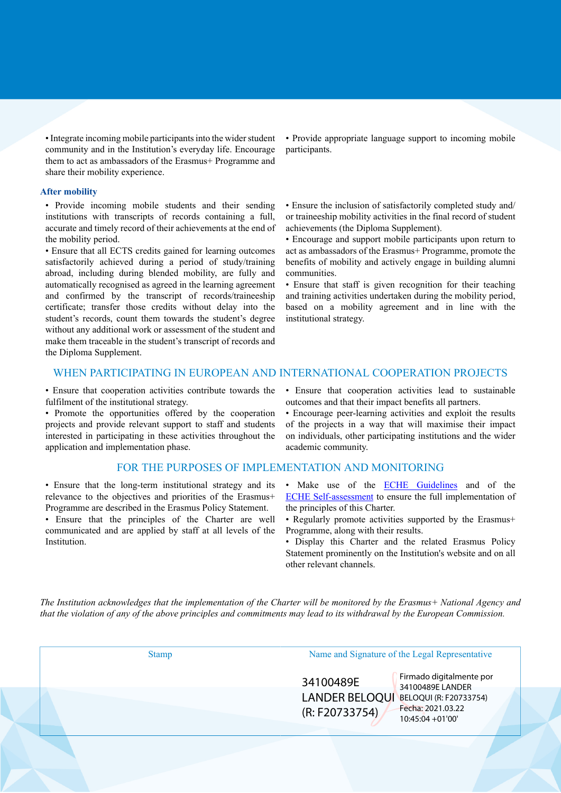• Integrate incoming mobile participants into the wider student community and in the Institution's everyday life. Encourage them to act as ambassadors of the Erasmus+ Programme and share their mobility experience.

#### **After mobility**

• Provide incoming mobile students and their sending institutions with transcripts of records containing a full, accurate and timely record of their achievements at the end of the mobility period.

• Ensure that all ECTS credits gained for learning outcomes satisfactorily achieved during a period of study/training abroad, including during blended mobility, are fully and automatically recognised as agreed in the learning agreement and confirmed by the transcript of records/traineeship certificate; transfer those credits without delay into the student's records, count them towards the student's degree without any additional work or assessment of the student and make them traceable in the student's transcript of records and the Diploma Supplement.

• Provide appropriate language support to incoming mobile participants.

• Ensure the inclusion of satisfactorily completed study and/ or traineeship mobility activities in the final record of student achievements (the Diploma Supplement).

• Encourage and support mobile participants upon return to act as ambassadors of the Erasmus+ Programme, promote the benefits of mobility and actively engage in building alumni communities.

• Ensure that staff is given recognition for their teaching and training activities undertaken during the mobility period, based on a mobility agreement and in line with the institutional strategy.

## WHEN PARTICIPATING IN EUROPEAN AND INTERNATIONAL COOPERATION PROJECTS

• Ensure that cooperation activities contribute towards the fulfilment of the institutional strategy.

• Promote the opportunities offered by the cooperation projects and provide relevant support to staff and students interested in participating in these activities throughout the application and implementation phase.

#### FOR THE PURPOSES OF IMPLEMENTATION AND MONITORING

• Ensure that the long-term institutional strategy and its relevance to the objectives and priorities of the Erasmus+ Programme are described in the Erasmus Policy Statement.

• Ensure that the principles of the Charter are well communicated and are applied by staff at all levels of the Institution.

• Ensure that cooperation activities lead to sustainable outcomes and that their impact benefits all partners.

• Encourage peer-learning activities and exploit the results of the projects in a way that will maximise their impact on individuals, other participating institutions and the wider academic community.

- Make use of the **ECHE Guidelines** and of the [ECHE Self-assessment](https://ec.europa.eu/programmes/erasmus-plus/eche/start_en) to ensure the full implementation of the principles of this Charter.
- Regularly promote activities supported by the Erasmus+ Programme, along with their results.
- Display this Charter and the related Erasmus Policy Statement prominently on the Institution's website and on all other relevant channels.

The Institution acknowledges that the implementation of the Charter will be monitored by the Erasmus+ National Agency and that the violation of any of the above principles and commitments may lead to its withdrawal by the European Commission.

Stamp Name and Signature of the Legal Representative

34100489E (R: F20733754)

LANDER BELOQUI BELOQUI (R: F20733754) Firmado digitalmente por 34100489E LANDER Fecha: 2021.03.22 10:45:04 +01'00'